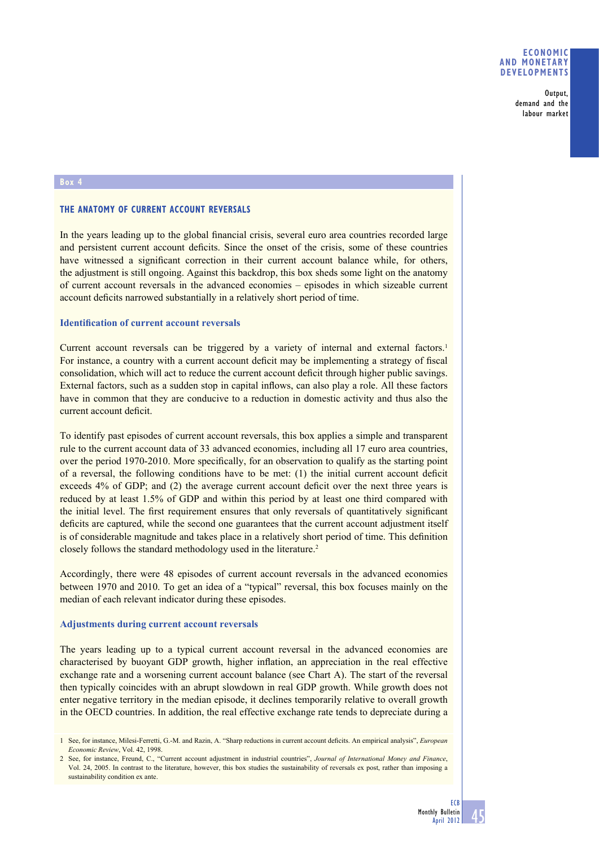**Output, demand and the labour market**

#### **Box 4**

## **THE ANATOMY OF CURRENT ACCOUNT REVERSALS**

In the years leading up to the global financial crisis, several euro area countries recorded large and persistent current account deficits. Since the onset of the crisis, some of these countries have witnessed a significant correction in their current account balance while, for others, the adjustment is still ongoing. Against this backdrop, this box sheds some light on the anatomy of current account reversals in the advanced economies – episodes in which sizeable current account deficits narrowed substantially in a relatively short period of time.

# **Identification of current account reversals**

Current account reversals can be triggered by a variety of internal and external factors.<sup>1</sup> For instance, a country with a current account deficit may be implementing a strategy of fiscal consolidation, which will act to reduce the current account deficit through higher public savings. External factors, such as a sudden stop in capital inflows, can also play a role. All these factors have in common that they are conducive to a reduction in domestic activity and thus also the current account deficit.

To identify past episodes of current account reversals, this box applies a simple and transparent rule to the current account data of 33 advanced economies, including all 17 euro area countries, over the period 1970-2010. More specifically, for an observation to qualify as the starting point of a reversal, the following conditions have to be met:  $(1)$  the initial current account deficit exceeds  $4%$  of GDP; and (2) the average current account deficit over the next three years is reduced by at least 1.5% of GDP and within this period by at least one third compared with the initial level. The first requirement ensures that only reversals of quantitatively significant deficits are captured, while the second one guarantees that the current account adjustment itself is of considerable magnitude and takes place in a relatively short period of time. This definition closely follows the standard methodology used in the literature.2

Accordingly, there were 48 episodes of current account reversals in the advanced economies between 1970 and 2010. To get an idea of a "typical" reversal, this box focuses mainly on the median of each relevant indicator during these episodes.

### **Adjustments during current account reversals**

The years leading up to a typical current account reversal in the advanced economies are characterised by buoyant GDP growth, higher inflation, an appreciation in the real effective exchange rate and a worsening current account balance (see Chart A). The start of the reversal then typically coincides with an abrupt slowdown in real GDP growth. While growth does not enter negative territory in the median episode, it declines temporarily relative to overall growth in the OECD countries. In addition, the real effective exchange rate tends to depreciate during a

<sup>1</sup> See, for instance, Milesi-Ferretti, G.-M. and Razin, A. "Sharp reductions in current account deficits. An empirical analysis", *European Economic Review*, Vol. 42, 1998.

<sup>2</sup> See, for instance, Freund, C., "Current account adjustment in industrial countries", *Journal of International Money and Finance*, Vol. 24, 2005. In contrast to the literature, however, this box studies the sustainability of reversals ex post, rather than imposing a sustainability condition ex ante.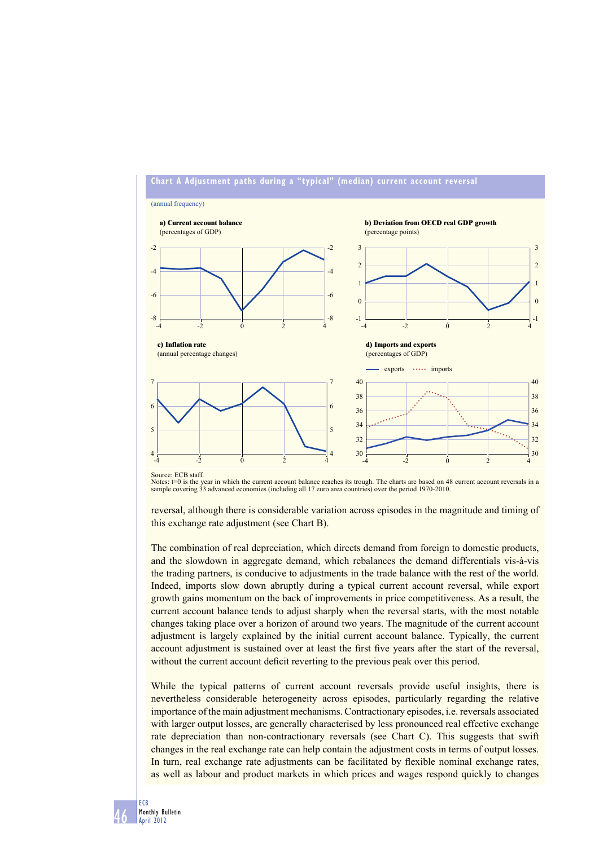

Notes: t=0 is the year in which the current account balance reaches its trough. The charts are based on 48 current account reversals in a<br>sample covering 33 advanced economies (including all 17 euro area countries) over th

reversal, although there is considerable variation across episodes in the magnitude and timing of this exchange rate adjustment (see Chart B).

The combination of real depreciation, which directs demand from foreign to domestic products, and the slowdown in aggregate demand, which rebalances the demand differentials vis-à-vis the trading partners, is conducive to adjustments in the trade balance with the rest of the world. Indeed, imports slow down abruptly during a typical current account reversal, while export growth gains momentum on the back of improvements in price competitiveness. As a result, the current account balance tends to adjust sharply when the reversal starts, with the most notable changes taking place over a horizon of around two years. The magnitude of the current account adjustment is largely explained by the initial current account balance. Typically, the current account adjustment is sustained over at least the first five years after the start of the reversal, without the current account deficit reverting to the previous peak over this period.

While the typical patterns of current account reversals provide useful insights, there is nevertheless considerable heterogeneity across episodes, particularly regarding the relative importance of the main adjustment mechanisms. Contractionary episodes, i.e. reversals associated with larger output losses, are generally characterised by less pronounced real effective exchange rate depreciation than non-contractionary reversals (see Chart C). This suggests that swift changes in the real exchange rate can help contain the adjustment costs in terms of output losses. In turn, real exchange rate adjustments can be facilitated by flexible nominal exchange rates, as well as labour and product markets in which prices and wages respond quickly to changes